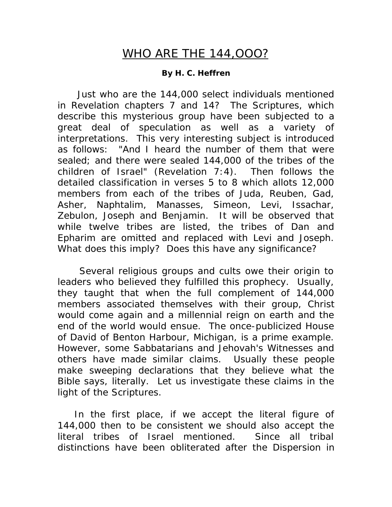## WHO ARE THE 144,OOO?

## **By H. C. Heffren**

 Just who are the 144,000 select individuals mentioned in Revelation chapters 7 and 14? The Scriptures, which describe this mysterious group have been subjected to a great deal of speculation as well as a variety of interpretations. This very interesting subject is introduced as follows: "And I heard the number of them that were sealed; and there were sealed 144,000 of the tribes of the children of Israel" (Revelation 7:4). Then follows the detailed classification in verses 5 to 8 which allots 12,000 members from each of the tribes of Juda, Reuben, Gad, Asher, Naphtalim, Manasses, Simeon, Levi, Issachar, Zebulon, Joseph and Benjamin. It will be observed that while twelve tribes are listed, the tribes of Dan and Epharim are omitted and replaced with Levi and Joseph. What does this imply? Does this have any significance?

 Several religious groups and cults owe their origin to leaders who believed they fulfilled this prophecy. Usually, they taught that when the full complement of 144,000 members associated themselves with their group, Christ would come again and a millennial reign on earth and the end of the world would ensue. The once-publicized House of David of Benton Harbour, Michigan, is a prime example. However, some Sabbatarians and Jehovah's Witnesses and others have made similar claims. Usually these people make sweeping declarations that they believe what the Bible says, literally. Let us investigate these claims in the light of the Scriptures.

 In the first place, if we accept the literal figure of 144,000 then to be consistent we should also accept the literal tribes of Israel mentioned. Since all tribal distinctions have been obliterated after the Dispersion in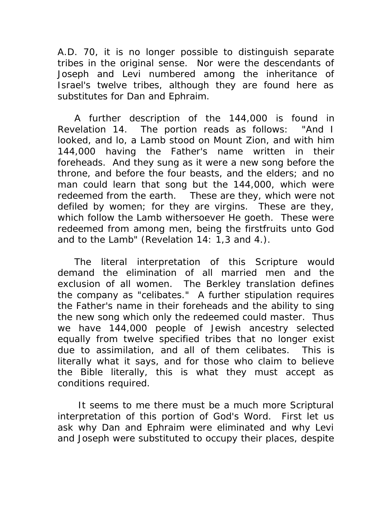A.D. 70, it is no longer possible to distinguish separate tribes in the original sense. Nor were the descendants of Joseph and Levi numbered among the inheritance of Israel's twelve tribes, although they are found here as substitutes for Dan and Ephraim.

 A further description of the 144,000 is found in Revelation 14. The portion reads as follows: "And I looked, and lo, a Lamb stood on Mount Zion, and with him 144,000 having the Father's name written in their foreheads. And they sung as it were a new song before the throne, and before the four beasts, and the elders; and no man could learn that song but the 144,000, which were redeemed from the earth. These are they, which were not defiled by women; for they are virgins. These are they, which follow the Lamb withersoever He goeth. These were redeemed from among men, being the firstfruits unto God and to the Lamb" (Revelation 14: 1,3 and 4.).

 The literal interpretation of this Scripture would demand the elimination of all married men and the exclusion of all women. The Berkley translation defines the company as "celibates." A further stipulation requires the Father's name in their foreheads and the ability to sing the new song which only the redeemed could master. Thus we have 144,000 people of Jewish ancestry selected equally from twelve specified tribes that no longer exist due to assimilation, and all of them celibates. This is literally what it says, and for those who claim to believe the Bible literally, this is what they must accept as conditions required.

 It seems to me there must be a much more Scriptural interpretation of this portion of God's Word. First let us ask why Dan and Ephraim were eliminated and why Levi and Joseph were substituted to occupy their places, despite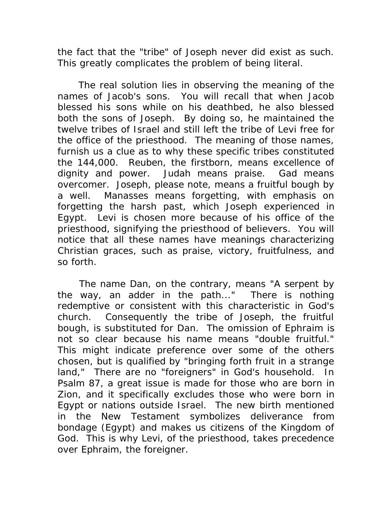the fact that the "tribe" of Joseph never did exist as such. This greatly complicates the problem of being literal.

 The real solution lies in observing the meaning of the names of Jacob's sons. You will recall that when Jacob blessed his sons while on his deathbed, he also blessed both the sons of Joseph. By doing so, he maintained the twelve tribes of Israel and still left the tribe of Levi free for the office of the priesthood. The meaning of those names, furnish us a clue as to why these specific tribes constituted the 144,000. Reuben, the firstborn, means excellence of dignity and power. Judah means praise. Gad means overcomer. Joseph, please note, means a fruitful bough by a well. Manasses means forgetting, with emphasis on forgetting the harsh past, which Joseph experienced in Egypt. Levi is chosen more because of his office of the priesthood, signifying the priesthood of believers. You will notice that all these names have meanings characterizing Christian graces, such as praise, victory, fruitfulness, and so forth.

 The name Dan, on the contrary, means "A serpent by the way, an adder in the path..." There is nothing redemptive or consistent with this characteristic in God's church. Consequently the tribe of Joseph, the fruitful bough, is substituted for Dan. The omission of Ephraim is not so clear because his name means "double fruitful." This might indicate preference over some of the others chosen, but is qualified by "bringing forth fruit in a strange land," There are no "foreigners" in God's household. In Psalm 87, a great issue is made for those who are born in Zion, and it specifically excludes those who were born in Egypt or nations outside Israel. The new birth mentioned in the New Testament symbolizes deliverance from bondage (Egypt) and makes us citizens of the Kingdom of God. This is why Levi, of the priesthood, takes precedence over Ephraim, the foreigner.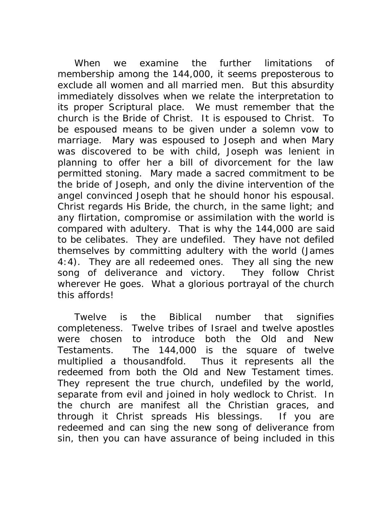When we examine the further limitations of membership among the 144,000, it seems preposterous to exclude all women and all married men. But this absurdity immediately dissolves when we relate the interpretation to its proper Scriptural place. We must remember that the church is the Bride of Christ. It is espoused to Christ. To be espoused means to be given under a solemn vow to marriage. Mary was espoused to Joseph and when Mary was discovered to be with child, Joseph was lenient in planning to offer her a bill of divorcement for the law permitted stoning. Mary made a sacred commitment to be the bride of Joseph, and only the divine intervention of the angel convinced Joseph that he should honor his espousal. Christ regards His Bride, the church, in the same light; and any flirtation, compromise or assimilation with the world is compared with adultery. That is why the 144,000 are said to be celibates. They are undefiled. They have not defiled themselves by committing adultery with the world (James 4:4). They are all redeemed ones. They all sing the new song of deliverance and victory. They follow Christ wherever He goes. What a glorious portrayal of the church this affords!

 Twelve is the Biblical number that signifies completeness. Twelve tribes of Israel and twelve apostles were chosen to introduce both the Old and New Testaments. The 144,000 is the square of twelve multiplied a thousandfold. Thus it represents all the redeemed from both the Old and New Testament times. They represent the true church, undefiled by the world, separate from evil and joined in holy wedlock to Christ. In the church are manifest all the Christian graces, and through it Christ spreads His blessings. If you are redeemed and can sing the new song of deliverance from sin, then you can have assurance of being included in this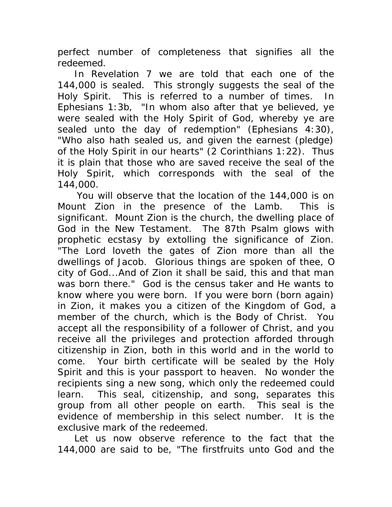perfect number of completeness that signifies all the redeemed.

 In Revelation 7 we are told that each one of the 144,000 is sealed. This strongly suggests the seal of the Holy Spirit. This is referred to a number of times. In Ephesians 1:3b, "In whom also after that ye believed, ye were sealed with the Holy Spirit of God, whereby ye are sealed unto the day of redemption" (Ephesians 4:30), "Who also hath sealed us, and given the earnest (pledge) of the Holy Spirit in our hearts" (2 Corinthians 1:22). Thus it is plain that those who are saved receive the seal of the Holy Spirit, which corresponds with the seal of the 144,000.

 You will observe that the location of the 144,000 is on Mount Zion in the presence of the Lamb. This is significant. Mount Zion is the church, the dwelling place of God in the New Testament. The 87th Psalm glows with prophetic ecstasy by extolling the significance of Zion. "The Lord loveth the gates of Zion more than all the dwellings of Jacob. Glorious things are spoken of thee, O city of God...And of Zion it shall be said, this and that man was born there." God is the census taker and He wants to know where you were born. If you were born (born again) in Zion, it makes you a citizen of the Kingdom of God, a member of the church, which is the Body of Christ. You accept all the responsibility of a follower of Christ, and you receive all the privileges and protection afforded through citizenship in Zion, both in this world and in the world to come. Your birth certificate will be sealed by the Holy Spirit and this is your passport to heaven. No wonder the recipients sing a new song, which only the redeemed could learn. This seal, citizenship, and song, separates this group from all other people on earth. This seal is the evidence of membership in this select number. It is the exclusive mark of the redeemed.

 Let us now observe reference to the fact that the 144,000 are said to be, "The firstfruits unto God and the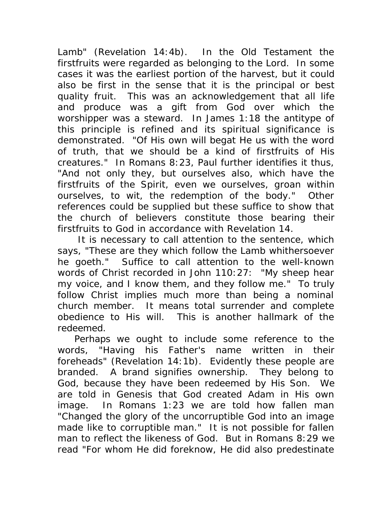Lamb" (Revelation 14:4b). In the Old Testament the firstfruits were regarded as belonging to the Lord. In some cases it was the earliest portion of the harvest, but it could also be first in the sense that it is the principal or best quality fruit. This was an acknowledgement that all life and produce was a gift from God over which the worshipper was a steward. In James 1:18 the antitype of this principle is refined and its spiritual significance is demonstrated. "Of His own will begat He us with the word of truth, that we should be a kind of firstfruits of His creatures." In Romans 8:23, Paul further identifies it thus, "And not only they, but ourselves also, which have the firstfruits of the Spirit, even we ourselves, groan within ourselves, to wit, the redemption of the body." Other references could be supplied but these suffice to show that the church of believers constitute those bearing their firstfruits to God in accordance with Revelation 14.

 It is necessary to call attention to the sentence, which says, "These are they which follow the Lamb whithersoever he goeth." Suffice to call attention to the well-known words of Christ recorded in John 110:27: "My sheep hear my voice, and I know them, and they follow me." To truly follow Christ implies much more than being a nominal church member. It means total surrender and complete obedience to His will. This is another hallmark of the redeemed.

 Perhaps we ought to include some reference to the words, "Having his Father's name written in their foreheads" (Revelation 14:1b). Evidently these people are branded. A brand signifies ownership. They belong to God, because they have been redeemed by His Son. We are told in Genesis that God created Adam in His own image. In Romans 1:23 we are told how fallen man "Changed the glory of the uncorruptible God into an image made like to corruptible man." It is not possible for fallen man to reflect the likeness of God. But in Romans 8:29 we read "For whom He did foreknow, He did also predestinate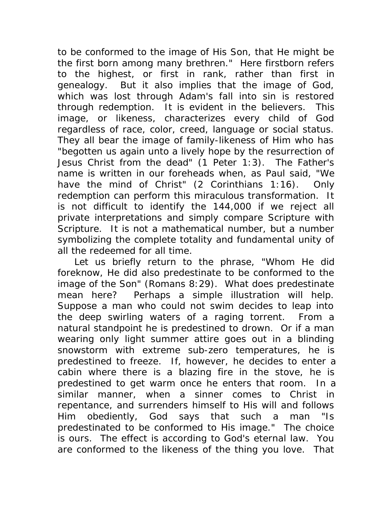to be conformed to the image of His Son, that He might be the first born among many brethren." Here firstborn refers to the highest, or first in rank, rather than first in genealogy. But it also implies that the image of God, which was lost through Adam's fall into sin is restored through redemption. It is evident in the believers. This image, or likeness, characterizes every child of God regardless of race, color, creed, language or social status. They all bear the image of family-likeness of Him who has "begotten us again unto a lively hope by the resurrection of Jesus Christ from the dead" (1 Peter 1:3). The Father's name is written in our foreheads when, as Paul said, "We have the mind of Christ" (2 Corinthians 1:16). Only redemption can perform this miraculous transformation. It is not difficult to identify the 144,000 if we reject all private interpretations and simply compare Scripture with Scripture. It is not a mathematical number, but a number symbolizing the complete totality and fundamental unity of all the redeemed for all time.

 Let us briefly return to the phrase, "Whom He did foreknow, He did also predestinate to be conformed to the image of the Son" (Romans 8:29). What does predestinate mean here? Perhaps a simple illustration will help. Suppose a man who could not swim decides to leap into the deep swirling waters of a raging torrent. From a natural standpoint he is predestined to drown. Or if a man wearing only light summer attire goes out in a blinding snowstorm with extreme sub-zero temperatures, he is predestined to freeze. If, however, he decides to enter a cabin where there is a blazing fire in the stove, he is predestined to get warm once he enters that room. In a similar manner, when a sinner comes to Christ in repentance, and surrenders himself to His will and follows Him obediently, God says that such a man "Is predestinated to be conformed to His image." The choice is ours. The effect is according to God's eternal law. You are conformed to the likeness of the thing you love. That